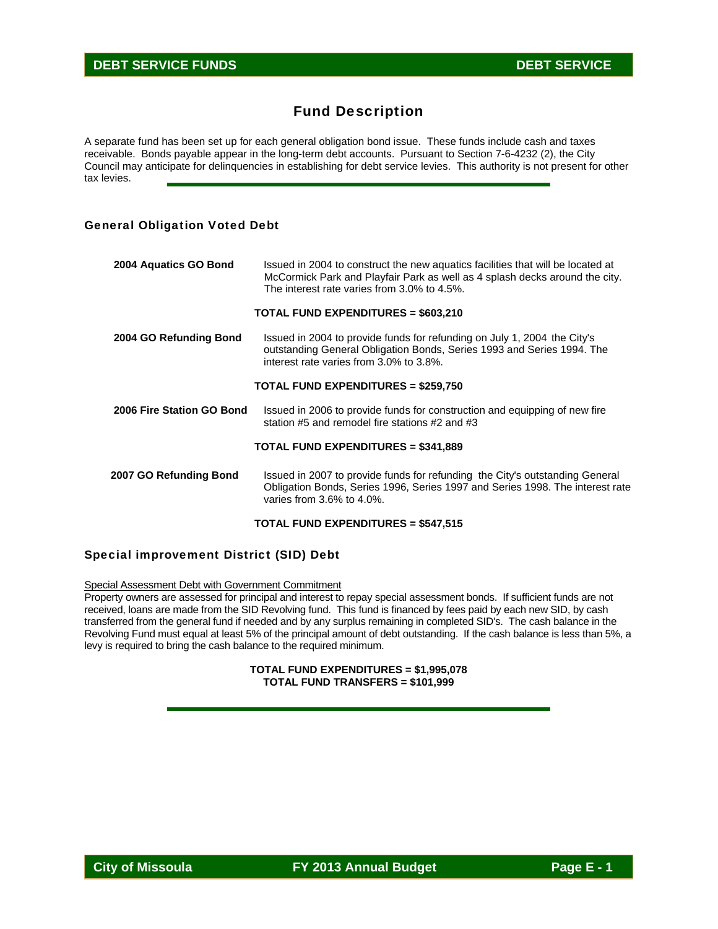# Fund Description

A separate fund has been set up for each general obligation bond issue. These funds include cash and taxes receivable. Bonds payable appear in the long-term debt accounts. Pursuant to Section 7-6-4232 (2), the City Council may anticipate for delinquencies in establishing for debt service levies. This authority is not present for other tax levies.

### General Obligation Voted Debt

| 2004 Aquatics GO Bond     | Issued in 2004 to construct the new aguatics facilities that will be located at<br>McCormick Park and Playfair Park as well as 4 splash decks around the city.<br>The interest rate varies from 3.0% to 4.5%. |
|---------------------------|---------------------------------------------------------------------------------------------------------------------------------------------------------------------------------------------------------------|
|                           | <b>TOTAL FUND EXPENDITURES = \$603,210</b>                                                                                                                                                                    |
| 2004 GO Refunding Bond    | Issued in 2004 to provide funds for refunding on July 1, 2004 the City's<br>outstanding General Obligation Bonds, Series 1993 and Series 1994. The<br>interest rate varies from 3.0% to 3.8%.                 |
|                           | <b>TOTAL FUND EXPENDITURES = \$259,750</b>                                                                                                                                                                    |
| 2006 Fire Station GO Bond | Issued in 2006 to provide funds for construction and equipping of new fire<br>station #5 and remodel fire stations #2 and #3                                                                                  |
|                           | <b>TOTAL FUND EXPENDITURES = \$341,889</b>                                                                                                                                                                    |
| 2007 GO Refunding Bond    | Issued in 2007 to provide funds for refunding the City's outstanding General<br>Obligation Bonds, Series 1996, Series 1997 and Series 1998. The interest rate<br>varies from $3.6\%$ to $4.0\%$ .             |

#### **TOTAL FUND EXPENDITURES = \$547,515**

#### Special improvement District (SID) Debt

Special Assessment Debt with Government Commitment

Property owners are assessed for principal and interest to repay special assessment bonds. If sufficient funds are not received, loans are made from the SID Revolving fund. This fund is financed by fees paid by each new SID, by cash transferred from the general fund if needed and by any surplus remaining in completed SID's. The cash balance in the Revolving Fund must equal at least 5% of the principal amount of debt outstanding. If the cash balance is less than 5%, a levy is required to bring the cash balance to the required minimum.

#### **TOTAL FUND EXPENDITURES = \$1,995,078 TOTAL FUND TRANSFERS = \$101,999**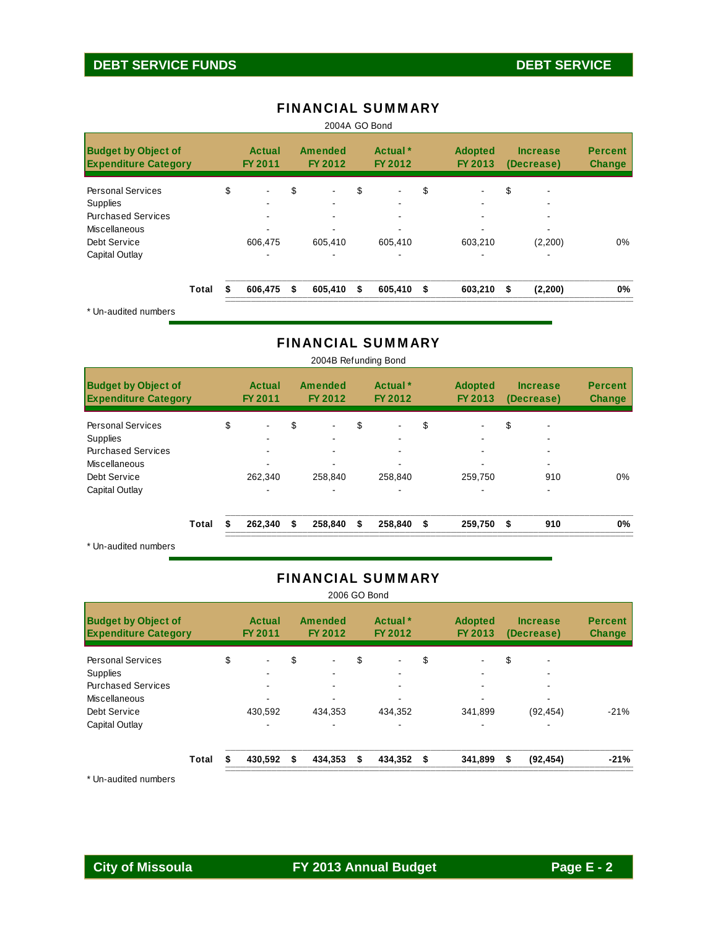# **DEBT SERVICE FUNDS DEBT SERVICE**

| <b>Budget by Object of</b><br><b>Expenditure Category</b> |    | Actual<br>FY 2011 | <b>Amended</b><br>FY 2012      | Actual <sup>*</sup><br>FY 2012 |         |    | <b>Adopted</b><br>FY 2013 | <b>Increase</b><br>(Decrease) |         | <b>Percent</b><br><b>Change</b> |
|-----------------------------------------------------------|----|-------------------|--------------------------------|--------------------------------|---------|----|---------------------------|-------------------------------|---------|---------------------------------|
| <b>Personal Services</b>                                  | \$ | $\blacksquare$    | \$<br>$\overline{\phantom{0}}$ | \$                             |         | \$ |                           | \$                            | ۰       |                                 |
| Supplies                                                  |    | -                 |                                |                                |         |    | ۰                         |                               | -       |                                 |
| <b>Purchased Services</b>                                 |    | ۰.                |                                |                                |         |    |                           |                               | ۰       |                                 |
| Miscellaneous                                             |    |                   |                                |                                |         |    |                           |                               |         |                                 |
| Debt Service                                              |    | 606,475           | 605,410                        |                                | 605,410 |    | 603,210                   |                               | (2,200) | $0\%$                           |
| Capital Outlay                                            |    |                   |                                |                                |         |    |                           |                               |         |                                 |
| Total                                                     |    | 606,475           | \$<br>605,410                  | S.                             | 605,410 | \$ | 603,210                   | S                             | (2,200) | 0%                              |

## FINANCIAL SUMMARY

Un-audited numbers

## FINANCIAL SUMMARY

| <b>Budget by Object of</b><br><b>Expenditure Category</b> |       | Actual<br>FY 2011    | Amended<br>FY 2012   |    | Actual <sup>*</sup><br>FY 2012 | <b>Adopted</b><br>FY 2013 |     | <b>Increase</b><br>(Decrease) | <b>Percent</b><br><b>Change</b> |
|-----------------------------------------------------------|-------|----------------------|----------------------|----|--------------------------------|---------------------------|-----|-------------------------------|---------------------------------|
| <b>Personal Services</b>                                  |       | \$<br>$\blacksquare$ | \$<br>$\blacksquare$ | \$ | $\overline{\phantom{a}}$       | \$                        | \$  | -                             |                                 |
| <b>Supplies</b>                                           |       |                      |                      |    |                                |                           |     |                               |                                 |
| <b>Purchased Services</b>                                 |       |                      |                      |    |                                |                           |     |                               |                                 |
| <b>Miscellaneous</b>                                      |       |                      |                      |    |                                |                           |     |                               |                                 |
| Debt Service                                              |       | 262.340              | 258.840              |    | 258.840                        | 259.750                   |     | 910                           | $0\%$                           |
| Capital Outlay                                            |       |                      |                      |    |                                |                           |     |                               |                                 |
|                                                           | Total | 262,340              | \$<br>258,840        | S. | 258,840 \$                     | 259,750                   | -\$ | 910                           | 0%                              |
| $*$ lin qudited numbers                                   |       |                      |                      |    |                                |                           |     |                               |                                 |

2004B Refunding Bond

Un-audited numbers

## FINANCIAL SUMMARY

| 2006 GO Bond                                                                                                                |       |    |                                 |    |                                 |    |                                |    |                           |    |                               |                                 |
|-----------------------------------------------------------------------------------------------------------------------------|-------|----|---------------------------------|----|---------------------------------|----|--------------------------------|----|---------------------------|----|-------------------------------|---------------------------------|
| <b>Budget by Object of</b><br><b>Expenditure Category</b>                                                                   |       |    | Actual<br><b>FY 2011</b>        |    | Amended<br>FY 2012              |    | Actual <sup>*</sup><br>FY 2012 |    | <b>Adopted</b><br>FY 2013 |    | <b>Increase</b><br>(Decrease) | <b>Percent</b><br><b>Change</b> |
| <b>Personal Services</b><br><b>Supplies</b><br><b>Purchased Services</b><br>Miscellaneous<br>Debt Service<br>Capital Outlay |       | \$ | $\blacksquare$<br>۰.<br>430,592 | \$ | $\blacksquare$<br>۰.<br>434.353 | \$ | $\blacksquare$<br>434.352      | \$ | 341,899                   | \$ | ٠<br>۰<br>٠<br>(92, 454)      | $-21%$                          |
|                                                                                                                             | Total |    | 430,592                         | \$ | 434,353                         | \$ | 434,352                        | \$ | 341,899                   | \$ | (92, 454)                     | $-21%$                          |

\* Un-audited numbers